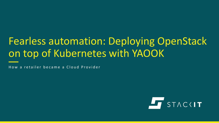# Fearless automation: Deploying OpenStack on top of Kubernetes with YAOOK

How a retailer became a Cloud Provider

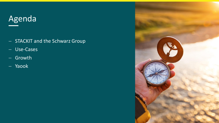# Agenda

- − STACKIT and the Schwarz Group
- − Use-Cases
- − Growth
- − Yaook

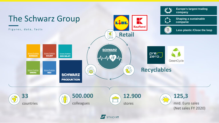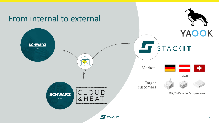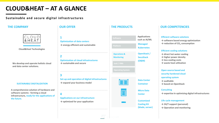### **CLOUD&HEAT – AT A GLANCE**

#### **Sustainable and secure digital infrastructures**



**Cloud&Heat Technologies**

**We develop and operate holistic cloud and data center solutions.**

#### **SUSTAINABLE DIGITALIZATION**  $\rightarrow$  expand your business model

**A comprehensive solution of hardware and software systems - forming a cloud infrastructure, ready for the applications of the future.** 

**1 Optimization of data centers → energy-efficient and sustainable**

**2 Optimization of cloud infrastructures → sustainable and secure**

**3 Set-up and operation of digital infrastructures → expand your business model**

**4 Applications on our infrastructure → optimized for your application**



**Data Center**

**Micro Data Center**

E

**Customized Cooling Kit (blade, server)**

#### **THE COMPANY OUR OFFER THE PRODUCTS OUR COMPETENCIES**

#### **Efficient software solutions**

**→ software based energy optimization → reduction of CO<sup>2</sup> consumption**

#### **Efficient cooling solutions**

- **→ direct hot water cooling**
- **→ higher power density**
- **→ less cooling costs**
- **→ waste heat utilization**

**Open source based and security hardened cloud operating system → auditable**

**→ based on OpenStack**

#### **Consulting**

**→ expertise in optimizing digital infrastructures**

#### **Life cycle management**

- **→ 24/7 support (personal)**
- **→ Operation and monitoring**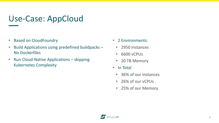### Use-Case: AppCloud

- Based on CloudFoundry
- Build Applications using predefined buildpacks No Dockerfiles
- Run Cloud-Native Applications skipping Kubernetes Complexity
- 2 Environments:
	- 2950 Instances
	- 6600 vCPUs
	- 20 TB Memory
- In Total
	- 36% of our Instances
	- 26% of our vCPUs
	- 25% of our Memory

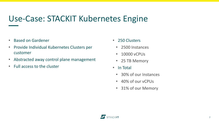### Use-Case: STACKIT Kubernetes Engine

- Based on Gardener
- Provide Individual Kubernetes Clusters per customer
- Abstracted away control plane management
- Full access to the cluster
- 250 Clusters
	- 2500 Instances
	- 10000 vCPUs
	- 25 TB Memory
- In Total
	- 30% of our Instances
	- 40% of our vCPUs
	- 31% of our Memory

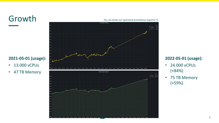



#### **2022-05-01 (usage):**

- 24.000 vCPUs (+84%)
- 75 TB Memory (+59%)

#### **2021-05-01 (usage):**

- 13.000 vCPUs
- 47 TB Memory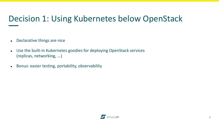## Decision 1: Using Kubernetes below OpenStack

- ⚫ Declarative things are nice
- ⚫ Use the built-in Kubernetes goodies for deploying OpenStack services (replicas, networking, ...)
- ⚫ Bonus: easier testing, portability, observability

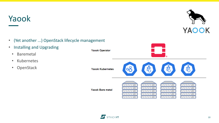### Yaook



- (Yet another ...) OpenStack lifecycle management
- Installing and Upgrading
	- Baremetal
	- Kubernetes
	- OpenStack



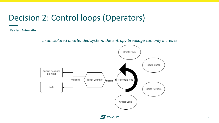### Decision 2: Control loops (Operators)

Fearless **Automation**

*In an isolated unattended system, the entropy breakage can only increase.*



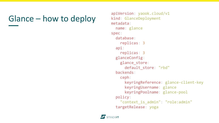## Glance – how to deploy

```
apiVersion: yaook.cloud/v1
kind: GlanceDeployment
metadata:
  name: glance
spec:
  database:
    replicas: 3
  api:
    replicas: 3
 glanceConfig:
    glance_store:
      default_store: "rbd"
  backends:
    ceph:
      keyringReference: glance-client-key
      keyringUsername: glance
      keyringPoolname: glance-pool
  policy:
    "context_is_admin": "role:admin"
  targetRelease: yoga
```
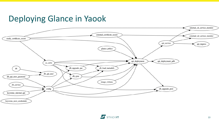### Deploying Glance in Yaook



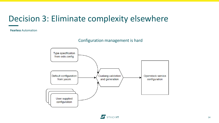### Decision 3: Eliminate complexity elsewhere

**Fearless** Automation

Configuration management is hard

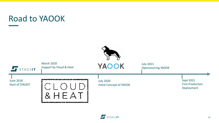